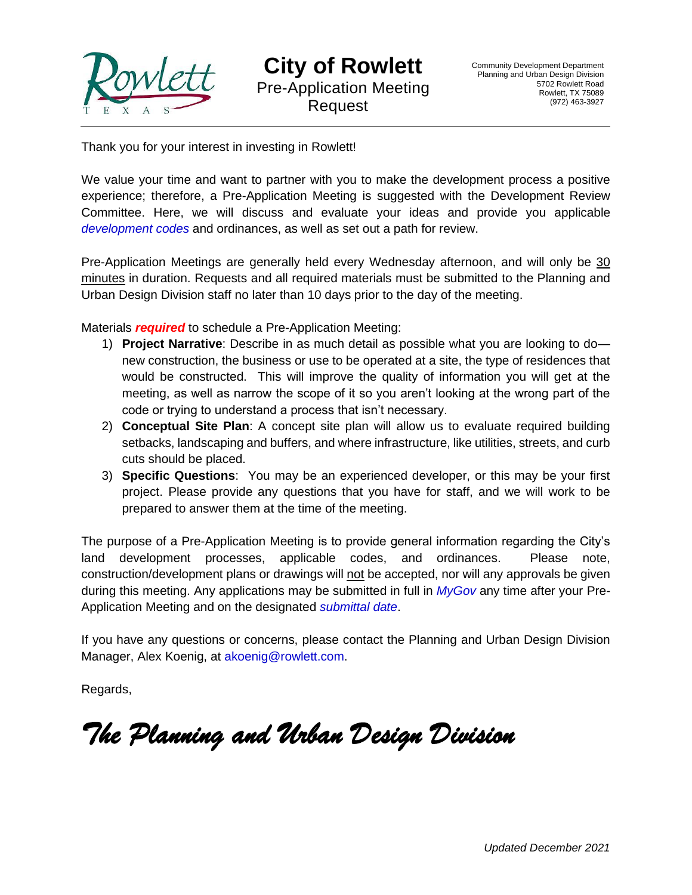

Thank you for your interest in investing in Rowlett!

We value your time and want to partner with you to make the development process a positive experience; therefore, a Pre-Application Meeting is suggested with the Development Review Committee. Here, we will discuss and evaluate your ideas and provide you applicable *[development codes](https://www.ci.rowlett.tx.us/230/Planning-and-Urban-Design)* and ordinances, as well as set out a path for review.

Pre-Application Meetings are generally held every Wednesday afternoon, and will only be 30 minutes in duration. Requests and all required materials must be submitted to the Planning and Urban Design Division staff no later than 10 days prior to the day of the meeting.

Materials *required* to schedule a Pre-Application Meeting:

- 1) **Project Narrative**: Describe in as much detail as possible what you are looking to do new construction, the business or use to be operated at a site, the type of residences that would be constructed. This will improve the quality of information you will get at the meeting, as well as narrow the scope of it so you aren't looking at the wrong part of the code or trying to understand a process that isn't necessary.
- 2) **Conceptual Site Plan**: A concept site plan will allow us to evaluate required building setbacks, landscaping and buffers, and where infrastructure, like utilities, streets, and curb cuts should be placed.
- 3) **Specific Questions**: You may be an experienced developer, or this may be your first project. Please provide any questions that you have for staff, and we will work to be prepared to answer them at the time of the meeting.

The purpose of a Pre-Application Meeting is to provide general information regarding the City's land development processes, applicable codes, and ordinances. Please note, construction/development plans or drawings will not be accepted, nor will any approvals be given during this meeting. Any applications may be submitted in full in *[MyGov](https://web.mygov.us/)* any time after your Pre-Application Meeting and on the designated *[submittal date](https://www.ci.rowlett.tx.us/230/Planning-and-Urban-Design)*.

If you have any questions or concerns, please contact the Planning and Urban Design Division Manager, Alex Koenig, at [akoenig@rowlett.com.](mailto:akoenig@rowlett.com)

Regards,

*The Planning and Urban Design Division*